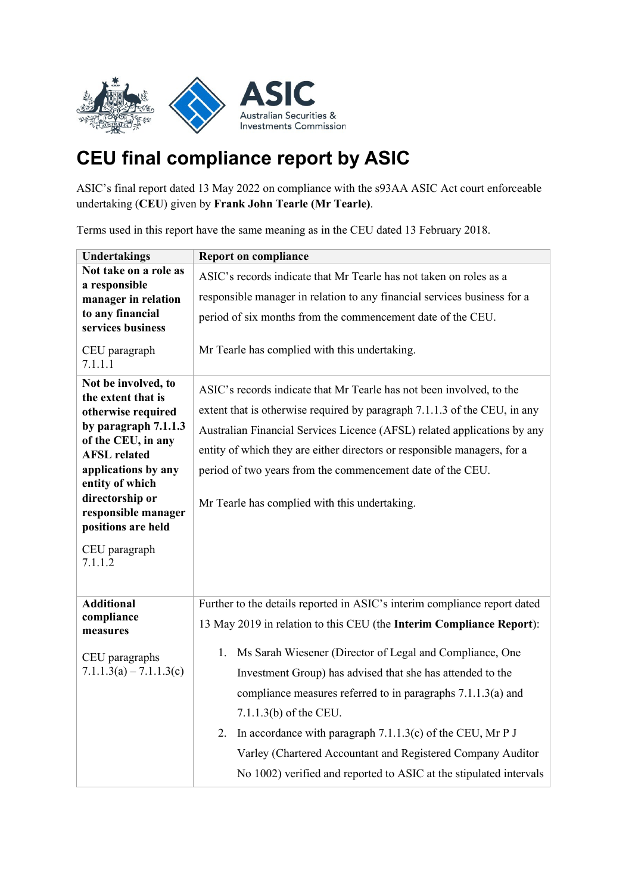

## **CEU final compliance report by ASIC**

ASIC's final report dated 13 May 2022 on compliance with the s93AA ASIC Act court enforceable undertaking (**CEU**) given by **Frank John Tearle (Mr Tearle)**.

Terms used in this report have the same meaning as in the CEU dated 13 February 2018.

| <b>Undertakings</b>                                                                                                                                                                                                                                                        | <b>Report on compliance</b>                                                                                                                                                                                                                                                                                                                                                                                                                                                                                                                                                      |
|----------------------------------------------------------------------------------------------------------------------------------------------------------------------------------------------------------------------------------------------------------------------------|----------------------------------------------------------------------------------------------------------------------------------------------------------------------------------------------------------------------------------------------------------------------------------------------------------------------------------------------------------------------------------------------------------------------------------------------------------------------------------------------------------------------------------------------------------------------------------|
| Not take on a role as<br>a responsible                                                                                                                                                                                                                                     | ASIC's records indicate that Mr Tearle has not taken on roles as a                                                                                                                                                                                                                                                                                                                                                                                                                                                                                                               |
| manager in relation                                                                                                                                                                                                                                                        | responsible manager in relation to any financial services business for a                                                                                                                                                                                                                                                                                                                                                                                                                                                                                                         |
| to any financial<br>services business                                                                                                                                                                                                                                      | period of six months from the commencement date of the CEU.                                                                                                                                                                                                                                                                                                                                                                                                                                                                                                                      |
| CEU paragraph<br>7.1.1.1                                                                                                                                                                                                                                                   | Mr Tearle has complied with this undertaking.                                                                                                                                                                                                                                                                                                                                                                                                                                                                                                                                    |
| Not be involved, to<br>the extent that is<br>otherwise required<br>by paragraph 7.1.1.3<br>of the CEU, in any<br><b>AFSL</b> related<br>applications by any<br>entity of which<br>directorship or<br>responsible manager<br>positions are held<br>CEU paragraph<br>7.1.1.2 | ASIC's records indicate that Mr Tearle has not been involved, to the<br>extent that is otherwise required by paragraph 7.1.1.3 of the CEU, in any<br>Australian Financial Services Licence (AFSL) related applications by any<br>entity of which they are either directors or responsible managers, for a<br>period of two years from the commencement date of the CEU.<br>Mr Tearle has complied with this undertaking.                                                                                                                                                         |
| <b>Additional</b><br>compliance<br>measures<br>CEU paragraphs<br>$7.1.1.3(a) - 7.1.1.3(c)$                                                                                                                                                                                 | Further to the details reported in ASIC's interim compliance report dated<br>13 May 2019 in relation to this CEU (the Interim Compliance Report):<br>1. Ms Sarah Wiesener (Director of Legal and Compliance, One<br>Investment Group) has advised that she has attended to the<br>compliance measures referred to in paragraphs 7.1.1.3(a) and<br>$7.1.1.3(b)$ of the CEU.<br>2. In accordance with paragraph 7.1.1.3(c) of the CEU, Mr P J<br>Varley (Chartered Accountant and Registered Company Auditor<br>No 1002) verified and reported to ASIC at the stipulated intervals |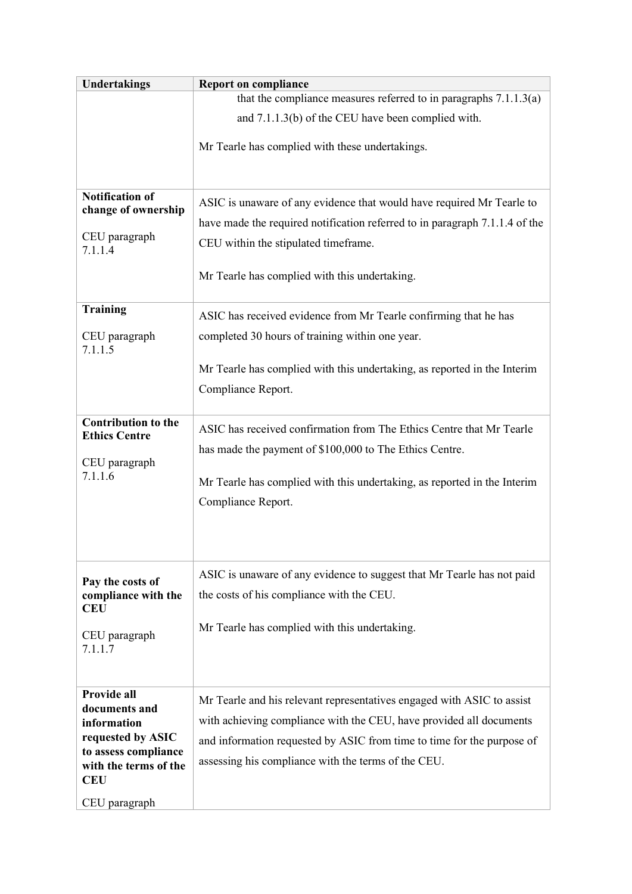| <b>Undertakings</b>                                         | <b>Report on compliance</b>                                                                                                                          |
|-------------------------------------------------------------|------------------------------------------------------------------------------------------------------------------------------------------------------|
|                                                             | that the compliance measures referred to in paragraphs $7.1.1.3(a)$                                                                                  |
|                                                             | and 7.1.1.3(b) of the CEU have been complied with.                                                                                                   |
|                                                             | Mr Tearle has complied with these undertakings.                                                                                                      |
|                                                             |                                                                                                                                                      |
| <b>Notification of</b><br>change of ownership               | ASIC is unaware of any evidence that would have required Mr Tearle to<br>have made the required notification referred to in paragraph 7.1.1.4 of the |
| CEU paragraph<br>7.1.1.4                                    | CEU within the stipulated timeframe.                                                                                                                 |
|                                                             | Mr Tearle has complied with this undertaking.                                                                                                        |
| <b>Training</b>                                             | ASIC has received evidence from Mr Tearle confirming that he has                                                                                     |
| CEU paragraph<br>7.1.1.5                                    | completed 30 hours of training within one year.                                                                                                      |
|                                                             | Mr Tearle has complied with this undertaking, as reported in the Interim                                                                             |
|                                                             | Compliance Report.                                                                                                                                   |
| <b>Contribution to the</b><br><b>Ethics Centre</b>          | ASIC has received confirmation from The Ethics Centre that Mr Tearle                                                                                 |
| CEU paragraph                                               | has made the payment of \$100,000 to The Ethics Centre.                                                                                              |
| 7.1.1.6                                                     | Mr Tearle has complied with this undertaking, as reported in the Interim                                                                             |
|                                                             | Compliance Report.                                                                                                                                   |
|                                                             |                                                                                                                                                      |
|                                                             |                                                                                                                                                      |
| Pay the costs of<br>compliance with the<br><b>CEU</b>       | ASIC is unaware of any evidence to suggest that Mr Tearle has not paid<br>the costs of his compliance with the CEU.                                  |
| CEU paragraph                                               | Mr Tearle has complied with this undertaking.                                                                                                        |
| 7.1.1.7                                                     |                                                                                                                                                      |
| Provide all                                                 |                                                                                                                                                      |
| documents and<br>information                                | Mr Tearle and his relevant representatives engaged with ASIC to assist<br>with achieving compliance with the CEU, have provided all documents        |
| requested by ASIC                                           | and information requested by ASIC from time to time for the purpose of                                                                               |
| to assess compliance<br>with the terms of the<br><b>CEU</b> | assessing his compliance with the terms of the CEU.                                                                                                  |
| CEU paragraph                                               |                                                                                                                                                      |